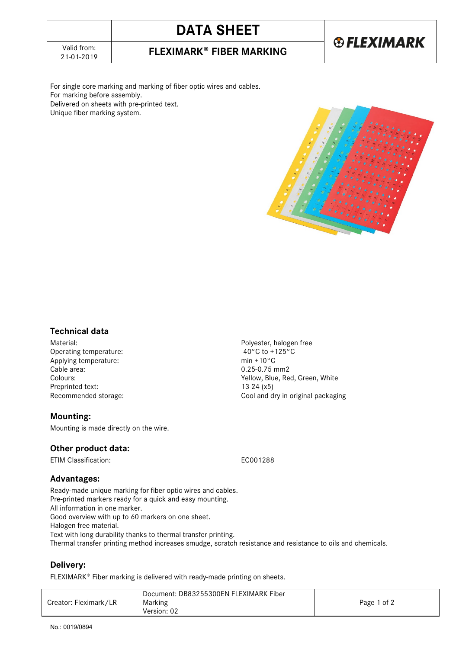# **DATA SHEET**

21-01-2019 **FLEXIMARK FIBER MARKING**

## **®FLEXIMARK**

For single core marking and marking of fiber optic wires and cables. For marking before assembly. Delivered on sheets with pre-printed text.

Unique fiber marking system.



#### **Technical data**

Material:<br>
Operating temperature:<br>
Operating temperature:<br>  $-40^{\circ}$ C to +125°C Operating temperature:  $-40^{\circ}$ C to +125°C to +125°C to +125°C to +125°C to +125°C Applying temperature:<br>Cable area: Colours: Yellow, Blue, Red, Green, White Preprinted text: 13-24 (x5) Recommended storage: Cool and dry in original packaging

#### **Mounting:**

Mounting is made directly on the wire.

#### **Other product data:**

ETIM Classification: EC001288

 $0.25 - 0.75$  mm2

#### **Advantages:**

Ready-made unique marking for fiber optic wires and cables. Pre-printed markers ready for a quick and easy mounting. All information in one marker. Good overview with up to 60 markers on one sheet. Halogen free material. Text with long durability thanks to thermal transfer printing. Thermal transfer printing method increases smudge, scratch resistance and resistance to oils and chemicals.

#### **Delivery:**

FLEXIMARK® Fiber marking is delivered with ready-made printing on sheets.

|                       | Document: DB83255300EN FLEXIMARK Fiber |             |
|-----------------------|----------------------------------------|-------------|
| Creator: Fleximark/LR | Marking                                | Page 1 of 2 |
|                       | Version: 02                            |             |